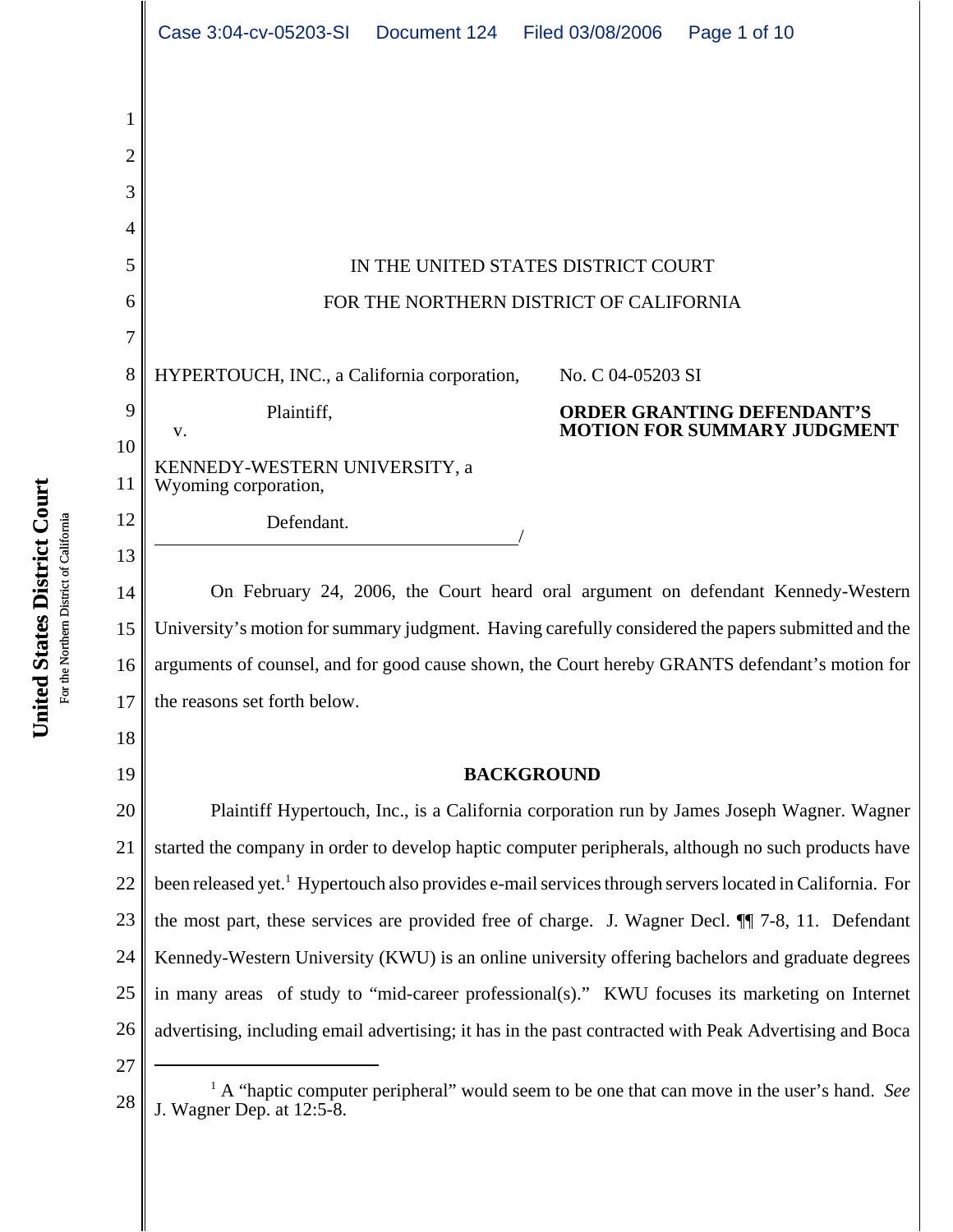| 2              |                                                       |                                                                                |  |  |  |
|----------------|-------------------------------------------------------|--------------------------------------------------------------------------------|--|--|--|
| 3              |                                                       |                                                                                |  |  |  |
| 4              |                                                       |                                                                                |  |  |  |
| 5              | IN THE UNITED STATES DISTRICT COURT                   |                                                                                |  |  |  |
| 6              | FOR THE NORTHERN DISTRICT OF CALIFORNIA               |                                                                                |  |  |  |
|                |                                                       |                                                                                |  |  |  |
| 8              | HYPERTOUCH, INC., a California corporation,           | No. C 04-05203 SI                                                              |  |  |  |
| 9              | Plaintiff,                                            | <b>ORDER GRANTING DEFENDANT'S</b>                                              |  |  |  |
| 10             | V.                                                    | <b>MOTION FOR SUMMARY JUDGMENT</b>                                             |  |  |  |
| 11             | KENNEDY-WESTERN UNIVERSITY, a<br>Wyoming corporation, |                                                                                |  |  |  |
| 12             | Defendant.                                            |                                                                                |  |  |  |
| 13             |                                                       |                                                                                |  |  |  |
| 1 <sub>A</sub> |                                                       | On Eshmany 24, 2006, the Court beard and encument on defendant Vennady Western |  |  |  |

14 15 16 17 On February 24, 2006, the Court heard oral argument on defendant Kennedy-Western University's motion for summary judgment. Having carefully considered the papers submitted and the arguments of counsel, and for good cause shown, the Court hereby GRANTS defendant's motion for the reasons set forth below.

## **BACKGROUND**

20 21 22 23 24 25 26 Plaintiff Hypertouch, Inc., is a California corporation run by James Joseph Wagner. Wagner started the company in order to develop haptic computer peripherals, although no such products have been released yet.<sup>1</sup> Hypertouch also provides e-mail services through servers located in California. For the most part, these services are provided free of charge. J. Wagner Decl. ¶¶ 7-8, 11. Defendant Kennedy-Western University (KWU) is an online university offering bachelors and graduate degrees in many areas of study to "mid-career professional(s)." KWU focuses its marketing on Internet advertising, including email advertising; it has in the past contracted with Peak Advertising and Boca

27

18

19

<sup>28</sup> <sup>1</sup> A "haptic computer peripheral" would seem to be one that can move in the user's hand. *See* J. Wagner Dep. at 12:5-8.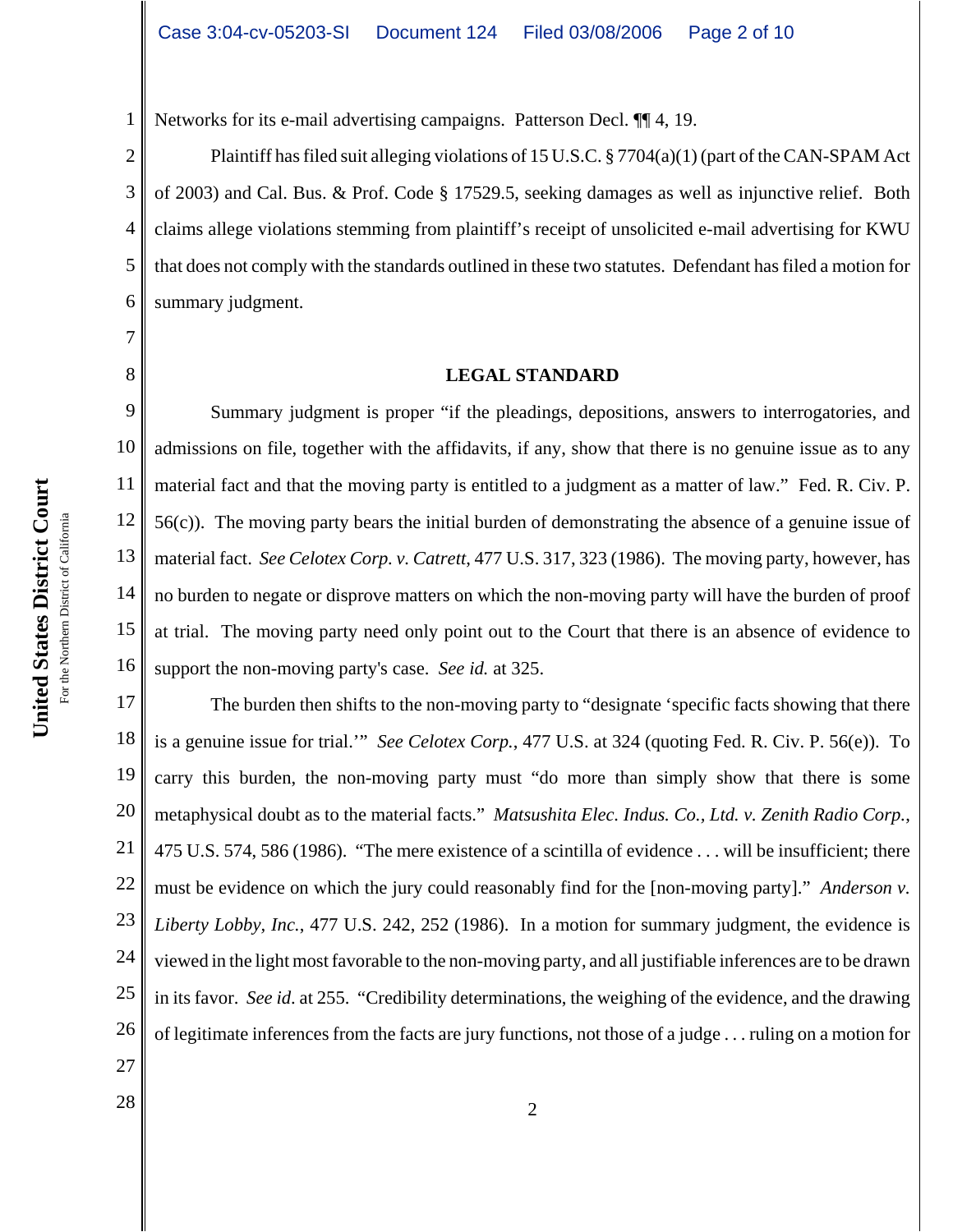1 Networks for its e-mail advertising campaigns. Patterson Decl. ¶¶ 4, 19.

2 3 4 5 6 Plaintiff has filed suit alleging violations of 15 U.S.C.  $\S 7704(a)(1)$  (part of the CAN-SPAM Act of 2003) and Cal. Bus. & Prof. Code § 17529.5, seeking damages as well as injunctive relief. Both claims allege violations stemming from plaintiff's receipt of unsolicited e-mail advertising for KWU that does not comply with the standards outlined in these two statutes. Defendant has filed a motion for summary judgment.

7

8

## **LEGAL STANDARD**

9 10 11 12 13 14 15 16 Summary judgment is proper "if the pleadings, depositions, answers to interrogatories, and admissions on file, together with the affidavits, if any, show that there is no genuine issue as to any material fact and that the moving party is entitled to a judgment as a matter of law." Fed. R. Civ. P. 56(c)). The moving party bears the initial burden of demonstrating the absence of a genuine issue of material fact. *See Celotex Corp. v. Catrett*, 477 U.S. 317, 323 (1986). The moving party, however, has no burden to negate or disprove matters on which the non-moving party will have the burden of proof at trial. The moving party need only point out to the Court that there is an absence of evidence to support the non-moving party's case. *See id.* at 325.

17 18 19 20 21 22 23 24 25 26 The burden then shifts to the non-moving party to "designate 'specific facts showing that there is a genuine issue for trial.'" *See Celotex Corp.*, 477 U.S. at 324 (quoting Fed. R. Civ. P. 56(e)). To carry this burden, the non-moving party must "do more than simply show that there is some metaphysical doubt as to the material facts." *Matsushita Elec. Indus. Co., Ltd. v. Zenith Radio Corp.*, 475 U.S. 574, 586 (1986). "The mere existence of a scintilla of evidence . . . will be insufficient; there must be evidence on which the jury could reasonably find for the [non-moving party]." *Anderson v. Liberty Lobby, Inc.*, 477 U.S. 242, 252 (1986). In a motion for summary judgment, the evidence is viewed in the light most favorable to the non-moving party, and all justifiable inferences are to be drawn in its favor. *See id*. at 255. "Credibility determinations, the weighing of the evidence, and the drawing of legitimate inferences from the facts are jury functions, not those of a judge . . . ruling on a motion for

United States District Court **United States District Court** For the Northern District of California For the Northern District of California

27

 $\begin{array}{c|c|c|c} 28 & 2 \end{array}$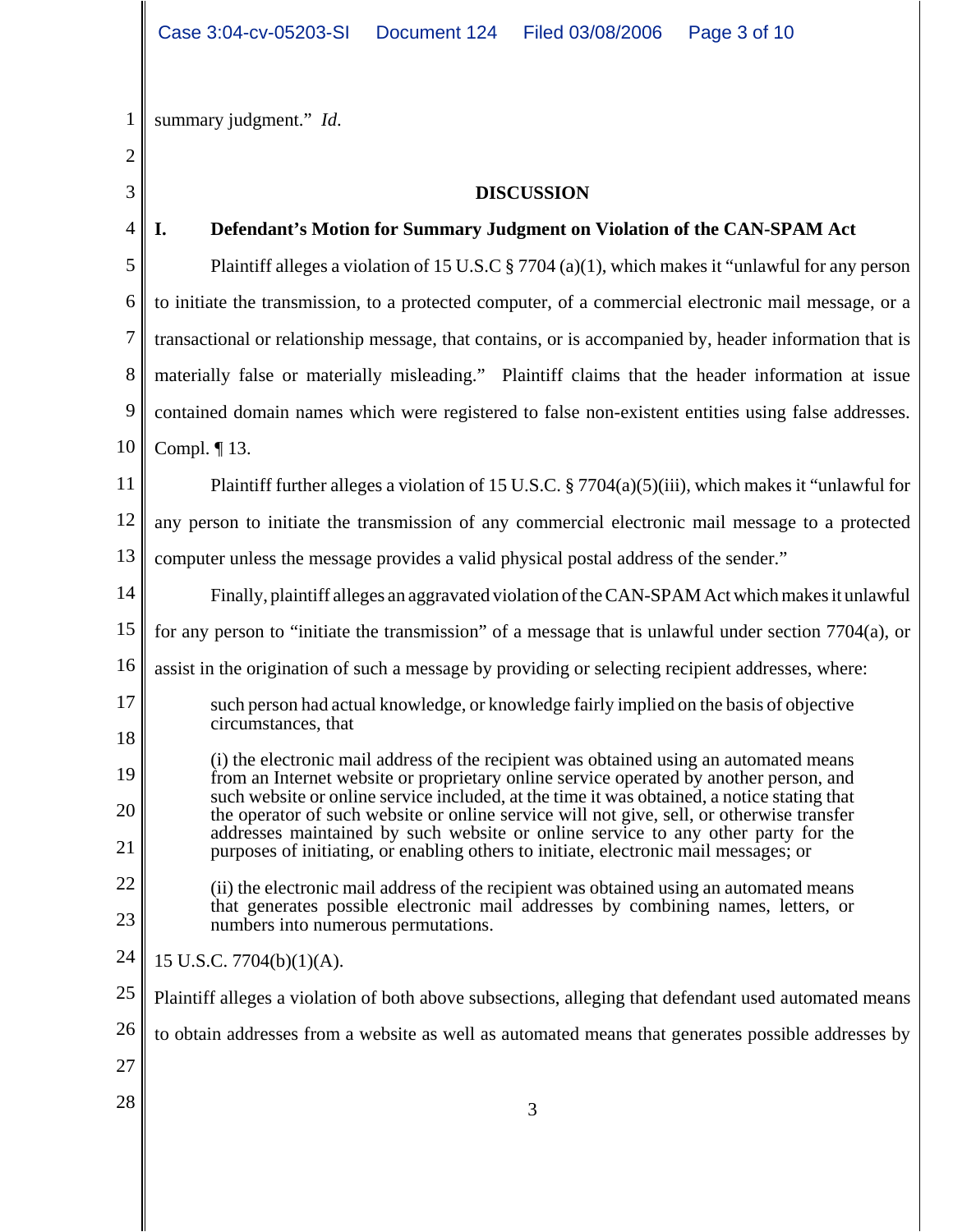| $\mathbf{1}$                                                                                                                                                                    | summary judgment." Id.                                                                                                                                                                   |  |  |  |  |  |
|---------------------------------------------------------------------------------------------------------------------------------------------------------------------------------|------------------------------------------------------------------------------------------------------------------------------------------------------------------------------------------|--|--|--|--|--|
| 2                                                                                                                                                                               |                                                                                                                                                                                          |  |  |  |  |  |
| 3                                                                                                                                                                               | <b>DISCUSSION</b>                                                                                                                                                                        |  |  |  |  |  |
| 4                                                                                                                                                                               | Defendant's Motion for Summary Judgment on Violation of the CAN-SPAM Act<br>I.                                                                                                           |  |  |  |  |  |
| 5                                                                                                                                                                               | Plaintiff alleges a violation of 15 U.S.C $\S 7704$ (a)(1), which makes it "unlawful for any person                                                                                      |  |  |  |  |  |
| 6                                                                                                                                                                               | to initiate the transmission, to a protected computer, of a commercial electronic mail message, or a                                                                                     |  |  |  |  |  |
| 7                                                                                                                                                                               | transactional or relationship message, that contains, or is accompanied by, header information that is                                                                                   |  |  |  |  |  |
| 8                                                                                                                                                                               | materially false or materially misleading." Plaintiff claims that the header information at issue                                                                                        |  |  |  |  |  |
| 9                                                                                                                                                                               | contained domain names which were registered to false non-existent entities using false addresses.                                                                                       |  |  |  |  |  |
| 10                                                                                                                                                                              | Compl. $\P$ 13.                                                                                                                                                                          |  |  |  |  |  |
| 11                                                                                                                                                                              | Plaintiff further alleges a violation of 15 U.S.C. $\S 7704(a)(5)(iii)$ , which makes it "unlawful for                                                                                   |  |  |  |  |  |
| 12                                                                                                                                                                              | any person to initiate the transmission of any commercial electronic mail message to a protected                                                                                         |  |  |  |  |  |
| 13                                                                                                                                                                              | computer unless the message provides a valid physical postal address of the sender."                                                                                                     |  |  |  |  |  |
| 14                                                                                                                                                                              | Finally, plaintiff alleges an aggravated violation of the CAN-SPAM Act which makes it unlawful                                                                                           |  |  |  |  |  |
| 15                                                                                                                                                                              | for any person to "initiate the transmission" of a message that is unlawful under section 7704(a), or                                                                                    |  |  |  |  |  |
| 16                                                                                                                                                                              | assist in the origination of such a message by providing or selecting recipient addresses, where:                                                                                        |  |  |  |  |  |
| 17<br>18                                                                                                                                                                        | such person had actual knowledge, or knowledge fairly implied on the basis of objective<br>circumstances, that                                                                           |  |  |  |  |  |
| 19                                                                                                                                                                              | (i) the electronic mail address of the recipient was obtained using an automated means<br>from an Internet website or proprietary online service operated by another person, and         |  |  |  |  |  |
| 20                                                                                                                                                                              | such website or online service included, at the time it was obtained, a notice stating that<br>the operator of such website or online service will not give, sell, or otherwise transfer |  |  |  |  |  |
| addresses maintained by such website or online service to any other party for the<br>21<br>purposes of initiating, or enabling others to initiate, electronic mail messages; or |                                                                                                                                                                                          |  |  |  |  |  |
| 22                                                                                                                                                                              | (ii) the electronic mail address of the recipient was obtained using an automated means                                                                                                  |  |  |  |  |  |
| 23                                                                                                                                                                              | that generates possible electronic mail addresses by combining names, letters, or<br>numbers into numerous permutations.                                                                 |  |  |  |  |  |
| 24                                                                                                                                                                              | 15 U.S.C. 7704(b)(1)(A).                                                                                                                                                                 |  |  |  |  |  |
| 25                                                                                                                                                                              | Plaintiff alleges a violation of both above subsections, alleging that defendant used automated means                                                                                    |  |  |  |  |  |
| 26                                                                                                                                                                              | to obtain addresses from a website as well as automated means that generates possible addresses by                                                                                       |  |  |  |  |  |
| 27                                                                                                                                                                              |                                                                                                                                                                                          |  |  |  |  |  |
| 28                                                                                                                                                                              | 3                                                                                                                                                                                        |  |  |  |  |  |
|                                                                                                                                                                                 |                                                                                                                                                                                          |  |  |  |  |  |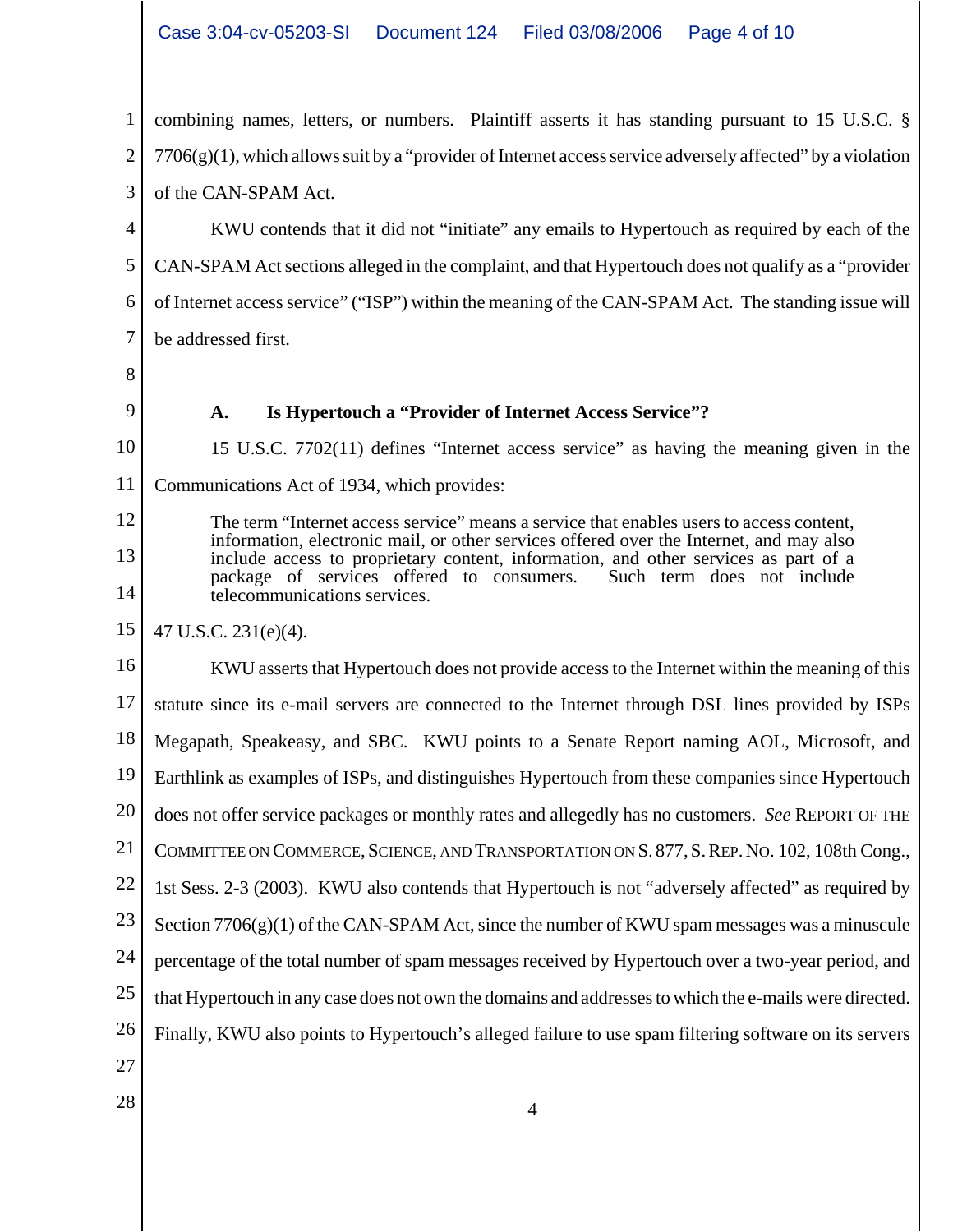1 2 3 combining names, letters, or numbers. Plaintiff asserts it has standing pursuant to 15 U.S.C. §  $7706(g)(1)$ , which allows suit by a "provider of Internet access service adversely affected" by a violation of the CAN-SPAM Act.

4 5 6 7 KWU contends that it did not "initiate" any emails to Hypertouch as required by each of the CAN-SPAM Act sections alleged in the complaint, and that Hypertouch does not qualify as a "provider of Internet access service" ("ISP") within the meaning of the CAN-SPAM Act. The standing issue will be addressed first.

- 8
- 9

12

13

14

# **A. Is Hypertouch a "Provider of Internet Access Service"?**

10 11 15 U.S.C. 7702(11) defines "Internet access service" as having the meaning given in the Communications Act of 1934, which provides:

The term "Internet access service" means a service that enables users to access content, information, electronic mail, or other services offered over the Internet, and may also include access to proprietary content, information, and other services as part of a package of services offered to consumers. telecommunications services.

### 15 47 U.S.C. 231(e)(4).

16 17 18 19 20 21 22 23 24 25 26 27 KWU asserts that Hypertouch does not provide access to the Internet within the meaning of this statute since its e-mail servers are connected to the Internet through DSL lines provided by ISPs Megapath, Speakeasy, and SBC. KWU points to a Senate Report naming AOL, Microsoft, and Earthlink as examples of ISPs, and distinguishes Hypertouch from these companies since Hypertouch does not offer service packages or monthly rates and allegedly has no customers. *See* REPORT OF THE COMMITTEE ON COMMERCE, SCIENCE, AND TRANSPORTATION ON S. 877, S. REP. NO. 102, 108th Cong., 1st Sess. 2-3 (2003). KWU also contends that Hypertouch is not "adversely affected" as required by Section  $7706(g)(1)$  of the CAN-SPAM Act, since the number of KWU spam messages was a minuscule percentage of the total number of spam messages received by Hypertouch over a two-year period, and that Hypertouch in any case does not own the domains and addresses to which the e-mails were directed. Finally, KWU also points to Hypertouch's alleged failure to use spam filtering software on its servers

- 
- $\begin{array}{|c|c|c|c|c|}\n\hline\n28 & & & 4 \\
\hline\n\end{array}$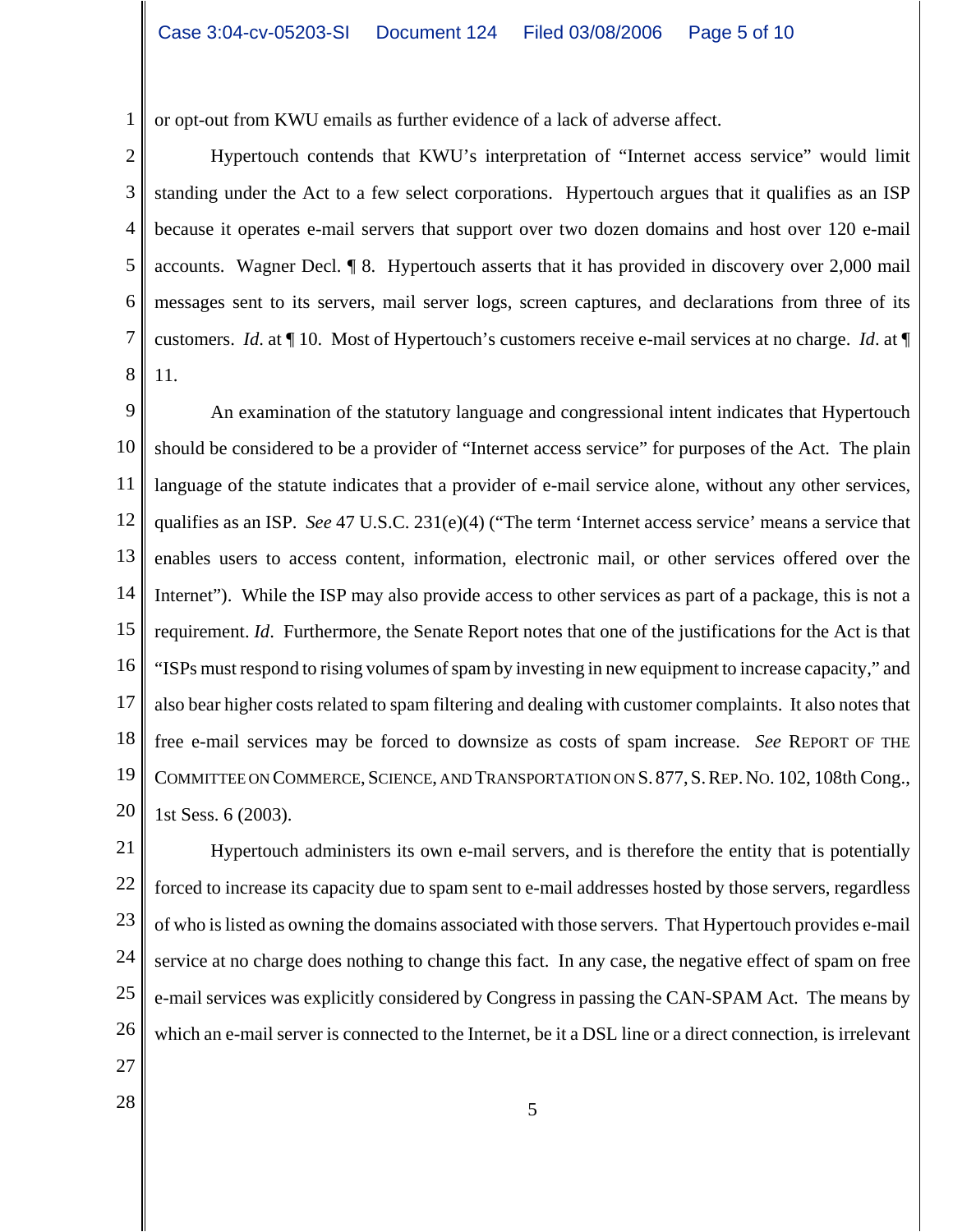1 or opt-out from KWU emails as further evidence of a lack of adverse affect.

2 3 4 5 6 7 8 Hypertouch contends that KWU's interpretation of "Internet access service" would limit standing under the Act to a few select corporations. Hypertouch argues that it qualifies as an ISP because it operates e-mail servers that support over two dozen domains and host over 120 e-mail accounts. Wagner Decl. ¶ 8. Hypertouch asserts that it has provided in discovery over 2,000 mail messages sent to its servers, mail server logs, screen captures, and declarations from three of its customers. *Id*. at ¶ 10. Most of Hypertouch's customers receive e-mail services at no charge. *Id*. at ¶ 11.

9 10 11 12 13 14 15 16 17 18 19 20 An examination of the statutory language and congressional intent indicates that Hypertouch should be considered to be a provider of "Internet access service" for purposes of the Act. The plain language of the statute indicates that a provider of e-mail service alone, without any other services, qualifies as an ISP. *See* 47 U.S.C. 231(e)(4) ("The term 'Internet access service' means a service that enables users to access content, information, electronic mail, or other services offered over the Internet"). While the ISP may also provide access to other services as part of a package, this is not a requirement. *Id*. Furthermore, the Senate Report notes that one of the justifications for the Act is that "ISPs must respond to rising volumes of spam by investing in new equipment to increase capacity," and also bear higher costs related to spam filtering and dealing with customer complaints. It also notes that free e-mail services may be forced to downsize as costs of spam increase. *See* REPORT OF THE COMMITTEE ON COMMERCE, SCIENCE, AND TRANSPORTATION ON S. 877, S. REP. NO. 102, 108th Cong., 1st Sess. 6 (2003).

21 22 23 24 25 26 Hypertouch administers its own e-mail servers, and is therefore the entity that is potentially forced to increase its capacity due to spam sent to e-mail addresses hosted by those servers, regardless of who is listed as owning the domains associated with those servers. That Hypertouch provides e-mail service at no charge does nothing to change this fact. In any case, the negative effect of spam on free e-mail services was explicitly considered by Congress in passing the CAN-SPAM Act. The means by which an e-mail server is connected to the Internet, be it a DSL line or a direct connection, is irrelevant

- 27
- $\begin{array}{c|c} 28 & 5 \end{array}$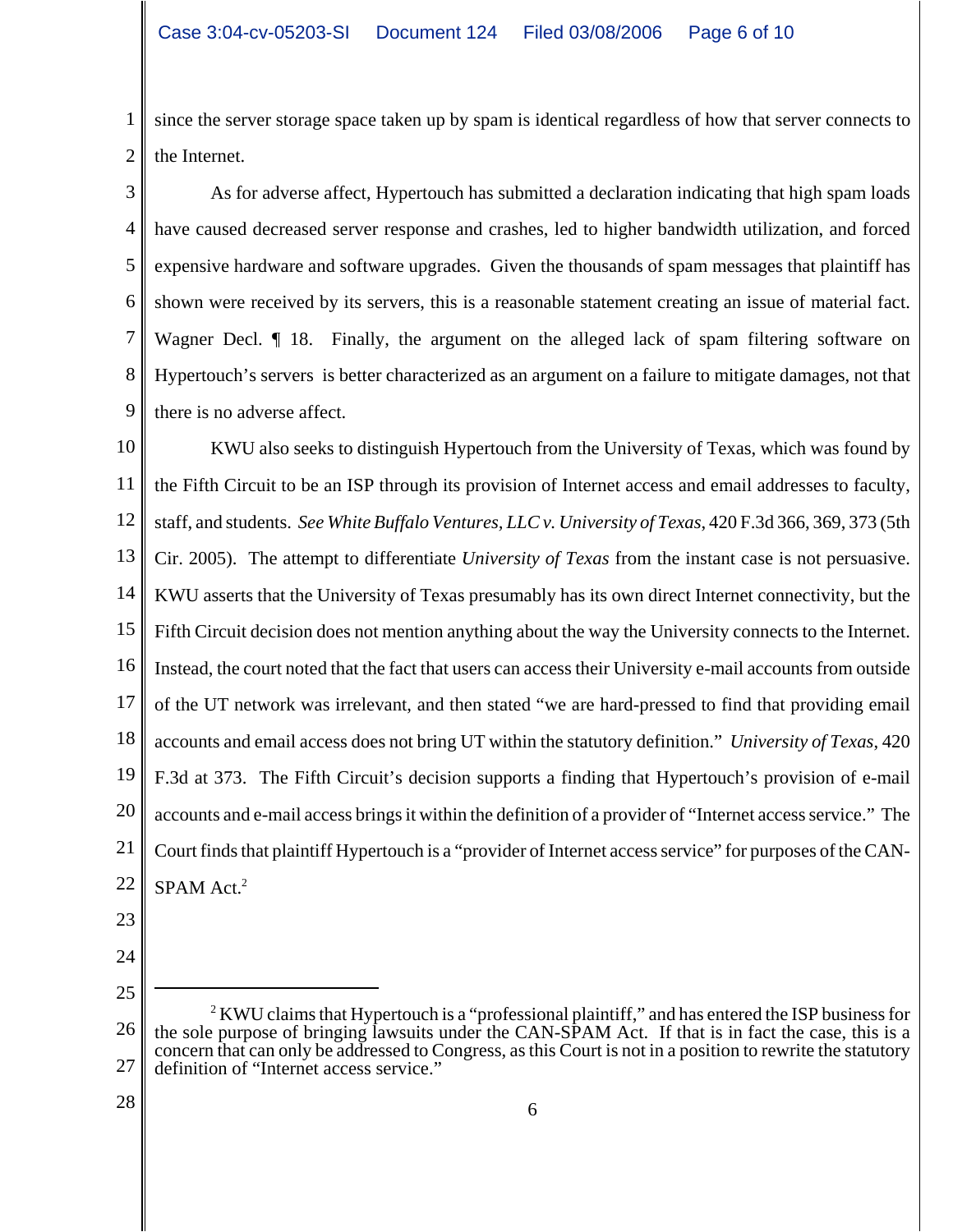1 2 since the server storage space taken up by spam is identical regardless of how that server connects to the Internet.

3

4 5 6 7 8 9 As for adverse affect, Hypertouch has submitted a declaration indicating that high spam loads have caused decreased server response and crashes, led to higher bandwidth utilization, and forced expensive hardware and software upgrades. Given the thousands of spam messages that plaintiff has shown were received by its servers, this is a reasonable statement creating an issue of material fact. Wagner Decl. *I* 18. Finally, the argument on the alleged lack of spam filtering software on Hypertouch's servers is better characterized as an argument on a failure to mitigate damages, not that there is no adverse affect.

10 11 12 13 14 15 16 17 18 19 20 21 22 KWU also seeks to distinguish Hypertouch from the University of Texas, which was found by the Fifth Circuit to be an ISP through its provision of Internet access and email addresses to faculty, staff, and students. *See White Buffalo Ventures, LLC v. University of Texas*, 420 F.3d 366, 369, 373 (5th Cir. 2005). The attempt to differentiate *University of Texas* from the instant case is not persuasive. KWU asserts that the University of Texas presumably has its own direct Internet connectivity, but the Fifth Circuit decision does not mention anything about the way the University connects to the Internet. Instead, the court noted that the fact that users can access their University e-mail accounts from outside of the UT network was irrelevant, and then stated "we are hard-pressed to find that providing email accounts and email access does not bring UT within the statutory definition." *University of Texas*, 420 F.3d at 373. The Fifth Circuit's decision supports a finding that Hypertouch's provision of e-mail accounts and e-mail access brings it within the definition of a provider of "Internet access service." The Court finds that plaintiff Hypertouch is a "provider of Internet access service" for purposes of the CAN- $SPAM$  Act.<sup>2</sup>

- 23
- 24
- 25

28

<sup>26</sup> 27  $2$  KWU claims that Hypertouch is a "professional plaintiff," and has entered the ISP business for the sole purpose of bringing lawsuits under the CAN-SPAM Act. If that is in fact the case, this is a concern that can only be addressed to Congress, as this Court is not in a position to rewrite the statutory definition of "Internet access service."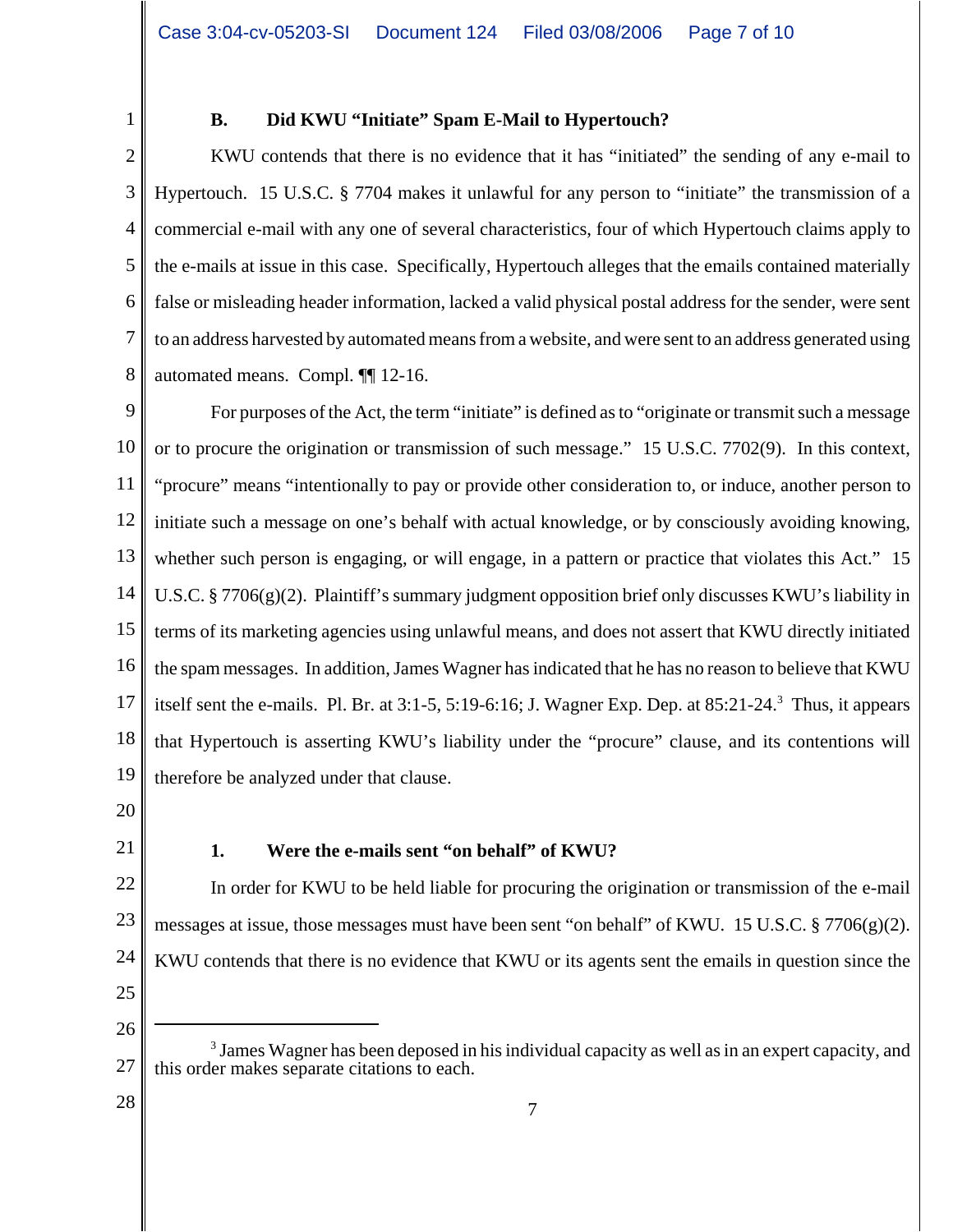1

# **B. Did KWU "Initiate" Spam E-Mail to Hypertouch?**

2 3 4 5 6 7 8 KWU contends that there is no evidence that it has "initiated" the sending of any e-mail to Hypertouch. 15 U.S.C. § 7704 makes it unlawful for any person to "initiate" the transmission of a commercial e-mail with any one of several characteristics, four of which Hypertouch claims apply to the e-mails at issue in this case. Specifically, Hypertouch alleges that the emails contained materially false or misleading header information, lacked a valid physical postal address for the sender, were sent to an address harvested by automated means from a website, and were sent to an address generated using automated means. Compl. ¶¶ 12-16.

9 10 11 12 13 14 15 16 17 18 19 For purposes of the Act, the term "initiate" is defined as to "originate or transmit such a message or to procure the origination or transmission of such message." 15 U.S.C. 7702(9). In this context, "procure" means "intentionally to pay or provide other consideration to, or induce, another person to initiate such a message on one's behalf with actual knowledge, or by consciously avoiding knowing, whether such person is engaging, or will engage, in a pattern or practice that violates this Act." 15 U.S.C. § 7706(g)(2). Plaintiff's summary judgment opposition brief only discusses KWU's liability in terms of its marketing agencies using unlawful means, and does not assert that KWU directly initiated the spam messages. In addition, James Wagner has indicated that he has no reason to believe that KWU itself sent the e-mails. Pl. Br. at 3:1-5, 5:19-6:16; J. Wagner Exp. Dep. at 85:21-24.<sup>3</sup> Thus, it appears that Hypertouch is asserting KWU's liability under the "procure" clause, and its contentions will therefore be analyzed under that clause.

- 20
- 21

# **1. Were the e-mails sent "on behalf" of KWU?**

22 23 24 In order for KWU to be held liable for procuring the origination or transmission of the e-mail messages at issue, those messages must have been sent "on behalf" of KWU. 15 U.S.C. § 7706(g)(2). KWU contends that there is no evidence that KWU or its agents sent the emails in question since the

25

26

28

<sup>27</sup> <sup>3</sup> James Wagner has been deposed in his individual capacity as well as in an expert capacity, and this order makes separate citations to each.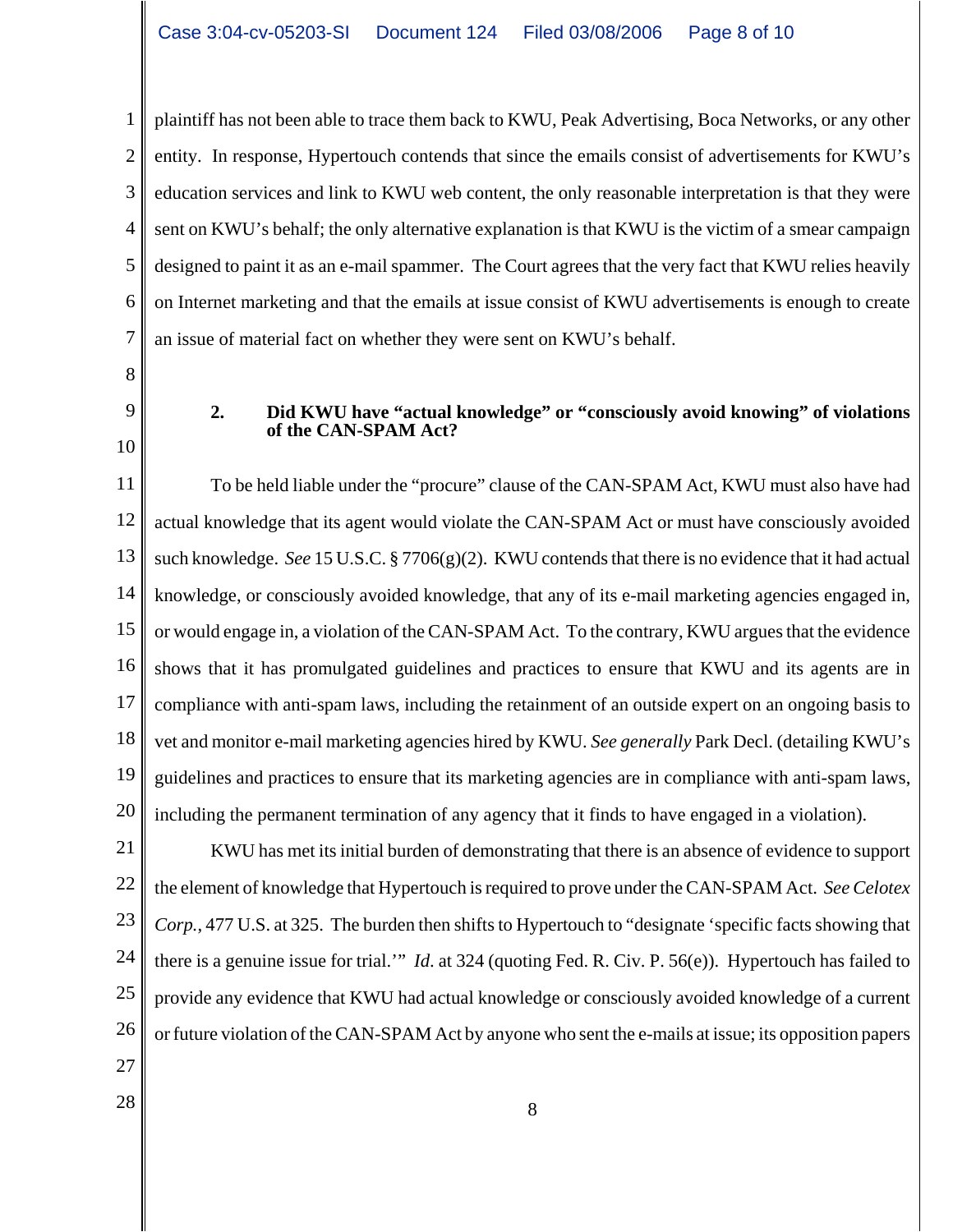1 2 3 4 5 6 7 plaintiff has not been able to trace them back to KWU, Peak Advertising, Boca Networks, or any other entity. In response, Hypertouch contends that since the emails consist of advertisements for KWU's education services and link to KWU web content, the only reasonable interpretation is that they were sent on KWU's behalf; the only alternative explanation is that KWU is the victim of a smear campaign designed to paint it as an e-mail spammer. The Court agrees that the very fact that KWU relies heavily on Internet marketing and that the emails at issue consist of KWU advertisements is enough to create an issue of material fact on whether they were sent on KWU's behalf.

- 8
- 9 10

## **2. Did KWU have "actual knowledge" or "consciously avoid knowing" of violations of the CAN-SPAM Act?**

11 12 13 14 15 16 17 18 19 20 To be held liable under the "procure" clause of the CAN-SPAM Act, KWU must also have had actual knowledge that its agent would violate the CAN-SPAM Act or must have consciously avoided such knowledge. *See* 15 U.S.C. § 7706(g)(2). KWU contends that there is no evidence that it had actual knowledge, or consciously avoided knowledge, that any of its e-mail marketing agencies engaged in, or would engage in, a violation of the CAN-SPAM Act. To the contrary, KWU argues that the evidence shows that it has promulgated guidelines and practices to ensure that KWU and its agents are in compliance with anti-spam laws, including the retainment of an outside expert on an ongoing basis to vet and monitor e-mail marketing agencies hired by KWU. *See generally* Park Decl. (detailing KWU's guidelines and practices to ensure that its marketing agencies are in compliance with anti-spam laws, including the permanent termination of any agency that it finds to have engaged in a violation).

21 22 23 24 25 26 KWU has met its initial burden of demonstrating that there is an absence of evidence to support the element of knowledge that Hypertouch is required to prove under the CAN-SPAM Act. *See Celotex Corp.*, 477 U.S. at 325. The burden then shifts to Hypertouch to "designate 'specific facts showing that there is a genuine issue for trial.'" *Id*. at 324 (quoting Fed. R. Civ. P. 56(e)). Hypertouch has failed to provide any evidence that KWU had actual knowledge or consciously avoided knowledge of a current or future violation of the CAN-SPAM Act by anyone who sent the e-mails at issue; its opposition papers

- 27
- $\begin{array}{c|c} 28 & 8 \end{array}$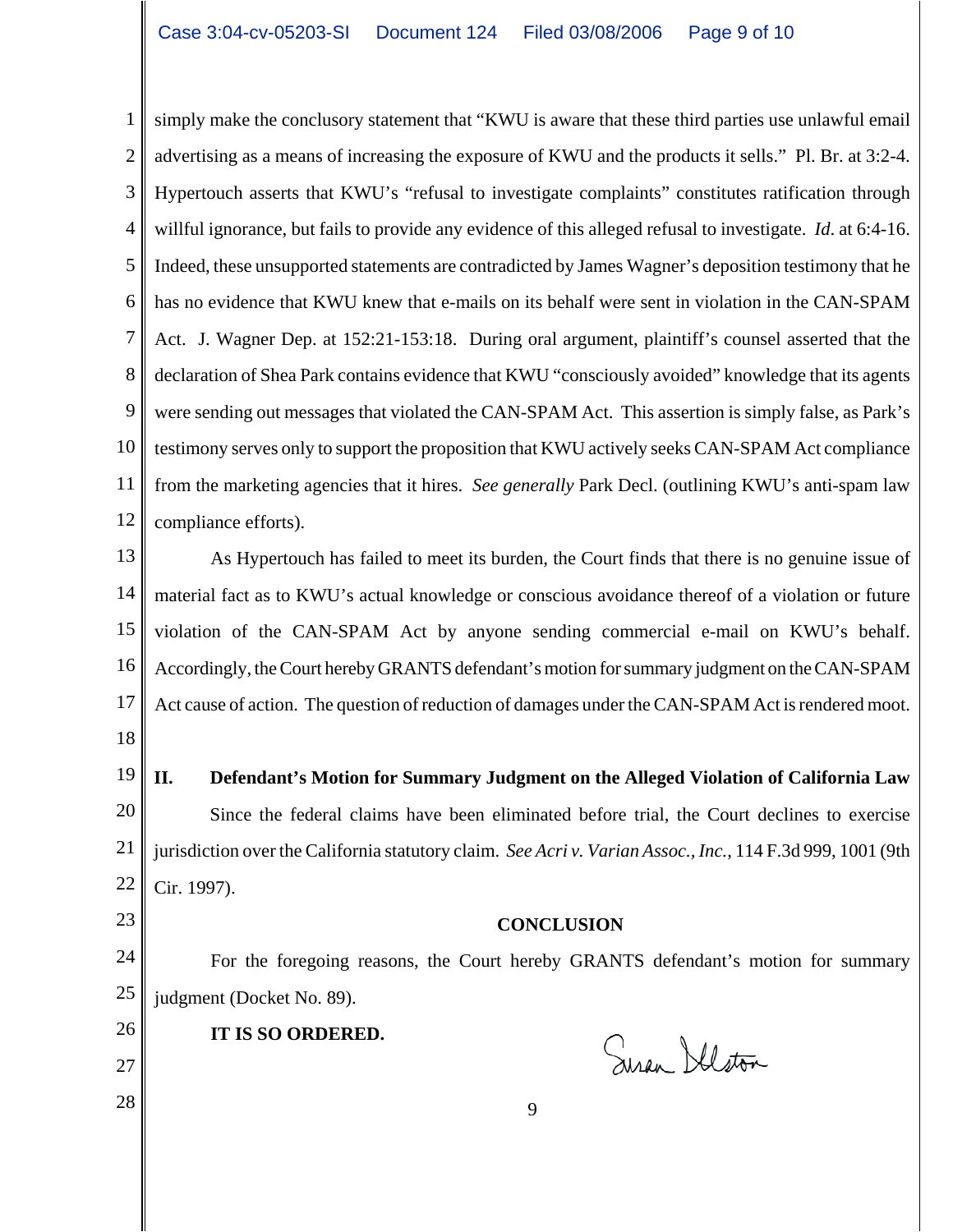1 2 3 4 5 6 7 8 9 10 11 12 simply make the conclusory statement that "KWU is aware that these third parties use unlawful email advertising as a means of increasing the exposure of KWU and the products it sells." Pl. Br. at 3:2-4. Hypertouch asserts that KWU's "refusal to investigate complaints" constitutes ratification through willful ignorance, but fails to provide any evidence of this alleged refusal to investigate. *Id*. at 6:4-16. Indeed, these unsupported statements are contradicted by James Wagner's deposition testimony that he has no evidence that KWU knew that e-mails on its behalf were sent in violation in the CAN-SPAM Act. J. Wagner Dep. at 152:21-153:18. During oral argument, plaintiff's counsel asserted that the declaration of Shea Park contains evidence that KWU "consciously avoided" knowledge that its agents were sending out messages that violated the CAN-SPAM Act. This assertion is simply false, as Park's testimony serves only to support the proposition that KWU actively seeks CAN-SPAM Act compliance from the marketing agencies that it hires. *See generally* Park Decl. (outlining KWU's anti-spam law compliance efforts).

13 14 15 16 17 18 As Hypertouch has failed to meet its burden, the Court finds that there is no genuine issue of material fact as to KWU's actual knowledge or conscious avoidance thereof of a violation or future violation of the CAN-SPAM Act by anyone sending commercial e-mail on KWU's behalf. Accordingly, the Court hereby GRANTS defendant's motion for summary judgment on the CAN-SPAM Act cause of action. The question of reduction of damages under the CAN-SPAM Act is rendered moot.

19 20 21 22 **II. Defendant's Motion for Summary Judgment on the Alleged Violation of California Law** Since the federal claims have been eliminated before trial, the Court declines to exercise jurisdiction over the California statutory claim. *See Acri v. Varian Assoc., Inc.*, 114 F.3d 999, 1001 (9th Cir. 1997).

23 **CONCLUSION** 24 For the foregoing reasons, the Court hereby GRANTS defendant's motion for summary 25 judgment (Docket No. 89). 26 **IT IS SO ORDERED.** Suran Illston 27